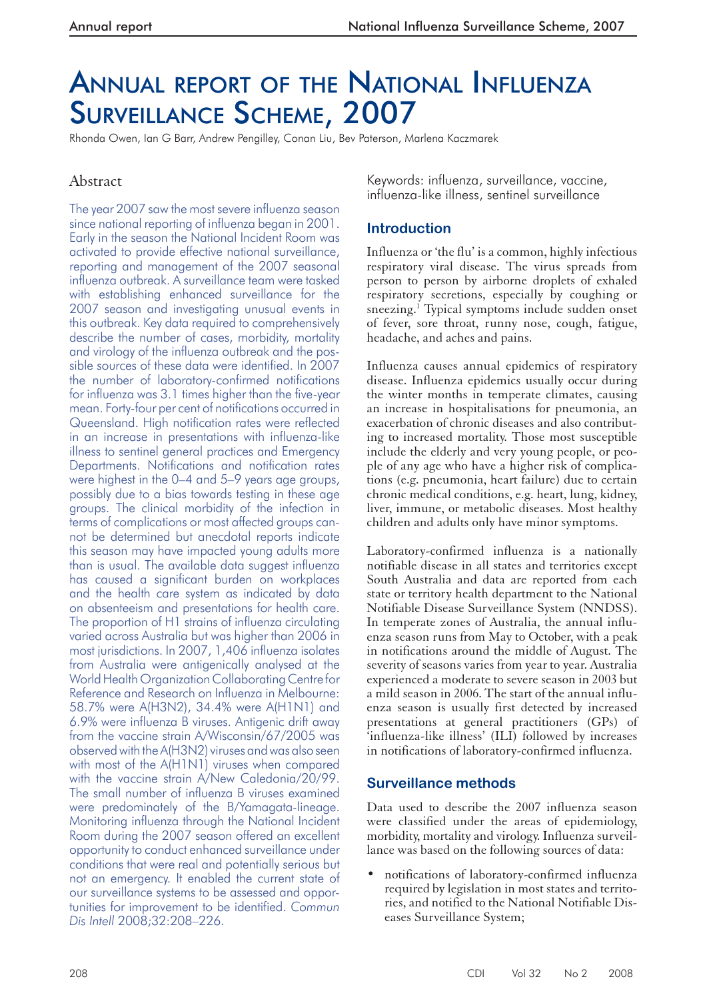# ANNUAL REPORT OF THE NATIONAL INFLUENZA SURVEILLANCE SCHEME, 2007

Rhonda Owen, Ian G Barr, Andrew Pengilley, Conan Liu, Bev Paterson, Marlena Kaczmarek

# Abstract

The year 2007 saw the most severe influenza season since national reporting of influenza began in 2001. Early in the season the National Incident Room was activated to provide effective national surveillance, reporting and management of the 2007 seasonal influenza outbreak. A surveillance team were tasked with establishing enhanced surveillance for the 2007 season and investigating unusual events in this outbreak. Key data required to comprehensively describe the number of cases, morbidity, mortality and virology of the influenza outbreak and the possible sources of these data were identified. In 2007 the number of laboratory-confirmed notifications for influenza was 3.1 times higher than the five-year mean. Forty-four per cent of notifications occurred in Queensland. High notification rates were reflected in an increase in presentations with influenza-like illness to sentinel general practices and Emergency Departments. Notifications and notification rates were highest in the 0–4 and 5–9 years age groups, possibly due to a bias towards testing in these age groups. The clinical morbidity of the infection in terms of complications or most affected groups cannot be determined but anecdotal reports indicate this season may have impacted young adults more than is usual. The available data suggest influenza has caused a significant burden on workplaces and the health care system as indicated by data on absenteeism and presentations for health care. The proportion of H1 strains of influenza circulating varied across Australia but was higher than 2006 in most jurisdictions. In 2007, 1,406 influenza isolates from Australia were antigenically analysed at the World Health Organization Collaborating Centre for Reference and Research on Influenza in Melbourne: 58.7% were A(H3N2), 34.4% were A(H1N1) and 6.9% were influenza B viruses. Antigenic drift away from the vaccine strain A/Wisconsin/67/2005 was observed with the A(H3N2) viruses and was also seen with most of the A(H1N1) viruses when compared with the vaccine strain A/New Caledonia/20/99. The small number of influenza B viruses examined were predominately of the B/Yamagata-lineage. Monitoring influenza through the National Incident Room during the 2007 season offered an excellent opportunity to conduct enhanced surveillance under conditions that were real and potentially serious but not an emergency. It enabled the current state of our surveillance systems to be assessed and opportunities for improvement to be identified. *Commun Dis Intell* 2008;32:208–226.

Keywords: influenza, surveillance, vaccine, influenza-like illness, sentinel surveillance

# **Introduction**

Influenza or 'the flu' is a common, highly infectious respiratory viral disease. The virus spreads from person to person by airborne droplets of exhaled respiratory secretions, especially by coughing or sneezing.<sup>1</sup> Typical symptoms include sudden onset of fever, sore throat, runny nose, cough, fatigue, headache, and aches and pains.

Influenza causes annual epidemics of respiratory disease. Influenza epidemics usually occur during the winter months in temperate climates, causing an increase in hospitalisations for pneumonia, an exacerbation of chronic diseases and also contributing to increased mortality. Those most susceptible include the elderly and very young people, or people of any age who have a higher risk of complications (e.g. pneumonia, heart failure) due to certain chronic medical conditions, e.g. heart, lung, kidney, liver, immune, or metabolic diseases. Most healthy children and adults only have minor symptoms.

Laboratory-confirmed influenza is a nationally notifiable disease in all states and territories except South Australia and data are reported from each state or territory health department to the National Notifiable Disease Surveillance System (NNDSS). In temperate zones of Australia, the annual influenza season runs from May to October, with a peak in notifications around the middle of August. The severity of seasons varies from year to year. Australia experienced a moderate to severe season in 2003 but a mild season in 2006. The start of the annual influenza season is usually first detected by increased presentations at general practitioners (GPs) of 'influenza-like illness' (ILI) followed by increases in notifications of laboratory-confirmed influenza.

# **Surveillance methods**

Data used to describe the 2007 influenza season were classified under the areas of epidemiology, morbidity, mortality and virology. Influenza surveillance was based on the following sources of data:

• notifications of laboratory-confirmed influenza required by legislation in most states and territories, and notified to the National Notifiable Diseases Surveillance System;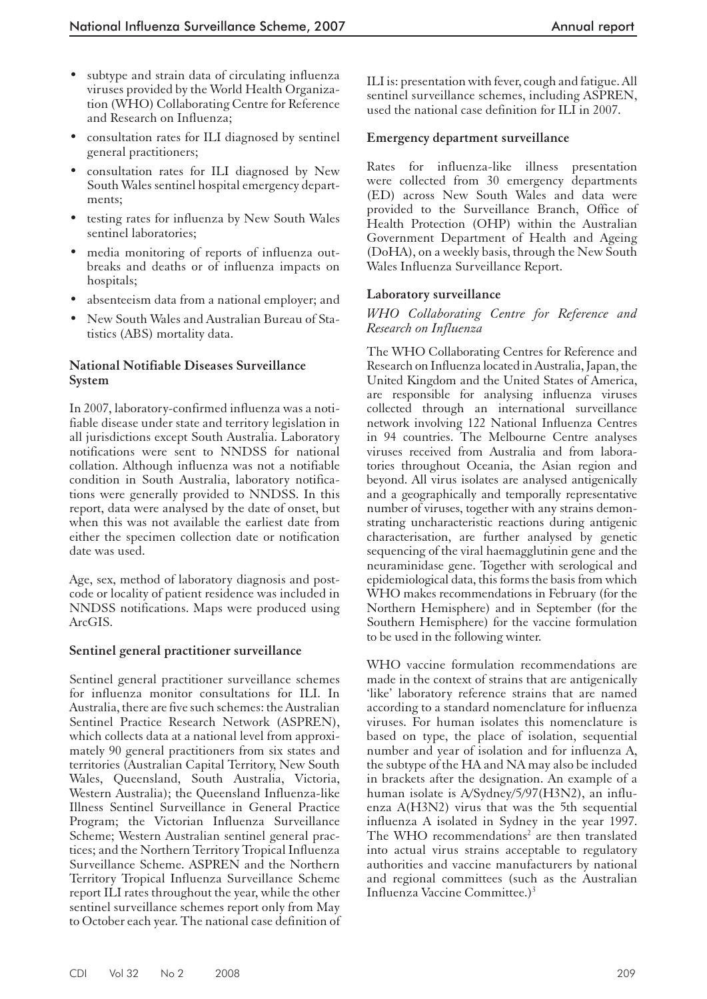- subtype and strain data of circulating influenza viruses provided by the World Health Organization (WHO) Collaborating Centre for Reference and Research on Influenza;
- consultation rates for ILI diagnosed by sentinel general practitioners;
- consultation rates for ILI diagnosed by New South Wales sentinel hospital emergency departments;
- testing rates for influenza by New South Wales sentinel laboratories;
- media monitoring of reports of influenza outbreaks and deaths or of influenza impacts on hospitals;
- absenteeism data from a national employer; and
- New South Wales and Australian Bureau of Statistics (ABS) mortality data.

## **National Notifiable Diseases Surveillance System**

In 2007, laboratory-confirmed influenza was a notifiable disease under state and territory legislation in all jurisdictions except South Australia. Laboratory notifications were sent to NNDSS for national collation. Although influenza was not a notifiable condition in South Australia, laboratory notifications were generally provided to NNDSS. In this report, data were analysed by the date of onset, but when this was not available the earliest date from either the specimen collection date or notification date was used.

Age, sex, method of laboratory diagnosis and postcode or locality of patient residence was included in NNDSS notifications. Maps were produced using ArcGIS.

#### **Sentinel general practitioner surveillance**

Sentinel general practitioner surveillance schemes for influenza monitor consultations for ILI. In Australia, there are five such schemes: the Australian Sentinel Practice Research Network (ASPREN), which collects data at a national level from approximately 90 general practitioners from six states and territories (Australian Capital Territory, New South Wales, Queensland, South Australia, Victoria, Western Australia); the Queensland Influenza-like Illness Sentinel Surveillance in General Practice Program; the Victorian Influenza Surveillance Scheme; Western Australian sentinel general practices; and the Northern Territory Tropical Influenza Surveillance Scheme. ASPREN and the Northern Territory Tropical Influenza Surveillance Scheme report ILI rates throughout the year, while the other sentinel surveillance schemes report only from May to October each year. The national case definition of ILI is: presentation with fever, cough and fatigue. All sentinel surveillance schemes, including ASPREN, used the national case definition for ILI in 2007.

#### **Emergency department surveillance**

Rates for influenza-like illness presentation were collected from 30 emergency departments (ED) across New South Wales and data were provided to the Surveillance Branch, Office of Health Protection (OHP) within the Australian Government Department of Health and Ageing (DoHA), on a weekly basis, through the New South Wales Influenza Surveillance Report.

#### **Laboratory surveillance**

#### *WHO Collaborating Centre for Reference and Research on Influenza*

The WHO Collaborating Centres for Reference and Research on Influenza located in Australia, Japan, the United Kingdom and the United States of America, are responsible for analysing influenza viruses collected through an international surveillance network involving 122 National Influenza Centres in 94 countries. The Melbourne Centre analyses viruses received from Australia and from laboratories throughout Oceania, the Asian region and beyond. All virus isolates are analysed antigenically and a geographically and temporally representative number of viruses, together with any strains demonstrating uncharacteristic reactions during antigenic characterisation, are further analysed by genetic sequencing of the viral haemagglutinin gene and the neuraminidase gene. Together with serological and epidemiological data, this forms the basis from which WHO makes recommendations in February (for the Northern Hemisphere) and in September (for the Southern Hemisphere) for the vaccine formulation to be used in the following winter.

WHO vaccine formulation recommendations are made in the context of strains that are antigenically 'like' laboratory reference strains that are named according to a standard nomenclature for influenza viruses. For human isolates this nomenclature is based on type, the place of isolation, sequential number and year of isolation and for influenza A, the subtype of the HA and NA may also be included in brackets after the designation. An example of a human isolate is A/Sydney/5/97(H3N2), an influenza A(H3N2) virus that was the 5th sequential influenza A isolated in Sydney in the year 1997. The WHO recommendations<sup>2</sup> are then translated into actual virus strains acceptable to regulatory authorities and vaccine manufacturers by national and regional committees (such as the Australian Influenza Vaccine Committee.)3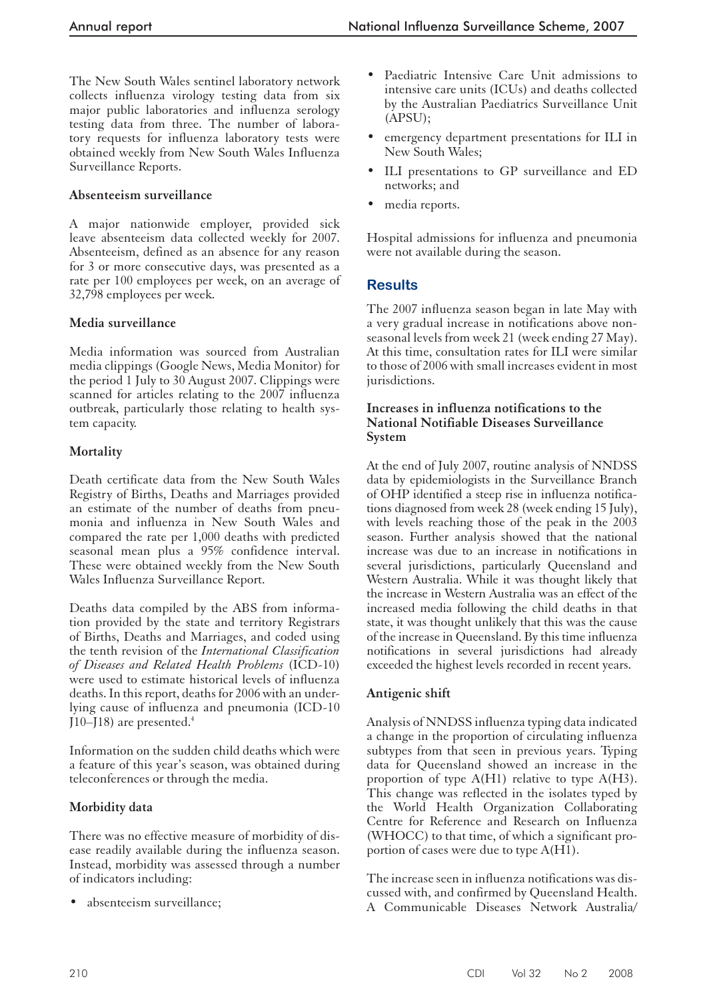The New South Wales sentinel laboratory network collects influenza virology testing data from six major public laboratories and influenza serology testing data from three. The number of laboratory requests for influenza laboratory tests were obtained weekly from New South Wales Influenza Surveillance Reports.

## **Absenteeism surveillance**

A major nationwide employer, provided sick leave absenteeism data collected weekly for 2007. Absenteeism, defined as an absence for any reason for 3 or more consecutive days, was presented as a rate per 100 employees per week, on an average of 32,798 employees per week.

# **Media surveillance**

Media information was sourced from Australian media clippings (Google News, Media Monitor) for the period 1 July to 30 August 2007. Clippings were scanned for articles relating to the 2007 influenza outbreak, particularly those relating to health system capacity.

# **Mortality**

Death certificate data from the New South Wales Registry of Births, Deaths and Marriages provided an estimate of the number of deaths from pneumonia and influenza in New South Wales and compared the rate per 1,000 deaths with predicted seasonal mean plus a 95% confidence interval. These were obtained weekly from the New South Wales Influenza Surveillance Report.

Deaths data compiled by the ABS from information provided by the state and territory Registrars of Births, Deaths and Marriages, and coded using the tenth revision of the *International Classification of Diseases and Related Health Problems* (ICD-10) were used to estimate historical levels of influenza deaths. In this report, deaths for 2006 with an underlying cause of influenza and pneumonia (ICD-10 J10–J18) are presented.<sup>4</sup>

Information on the sudden child deaths which were a feature of this year's season, was obtained during teleconferences or through the media.

# **Morbidity data**

There was no effective measure of morbidity of disease readily available during the influenza season. Instead, morbidity was assessed through a number of indicators including:

absenteeism surveillance;

- Paediatric Intensive Care Unit admissions to intensive care units (ICUs) and deaths collected by the Australian Paediatrics Surveillance Unit (APSU);
- emergency department presentations for ILI in New South Wales;
- ILI presentations to GP surveillance and ED networks; and
- media reports.

Hospital admissions for influenza and pneumonia were not available during the season.

# **Results**

The 2007 influenza season began in late May with a very gradual increase in notifications above nonseasonal levels from week 21 (week ending 27 May). At this time, consultation rates for ILI were similar to those of 2006 with small increases evident in most jurisdictions.

#### **Increases in influenza notifications to the National Notifiable Diseases Surveillance System**

At the end of July 2007, routine analysis of NNDSS data by epidemiologists in the Surveillance Branch of OHP identified a steep rise in influenza notifications diagnosed from week 28 (week ending 15 July), with levels reaching those of the peak in the 2003 season. Further analysis showed that the national increase was due to an increase in notifications in several jurisdictions, particularly Queensland and Western Australia. While it was thought likely that the increase in Western Australia was an effect of the increased media following the child deaths in that state, it was thought unlikely that this was the cause of the increase in Queensland. By this time influenza notifications in several jurisdictions had already exceeded the highest levels recorded in recent years.

#### **Antigenic shift**

Analysis of NNDSS influenza typing data indicated a change in the proportion of circulating influenza subtypes from that seen in previous years. Typing data for Queensland showed an increase in the proportion of type  $A(H1)$  relative to type  $A(H3)$ . This change was reflected in the isolates typed by the World Health Organization Collaborating Centre for Reference and Research on Influenza (WHOCC) to that time, of which a significant proportion of cases were due to type  $A(HI)$ .

The increase seen in influenza notifications was discussed with, and confirmed by Queensland Health. A Communicable Diseases Network Australia/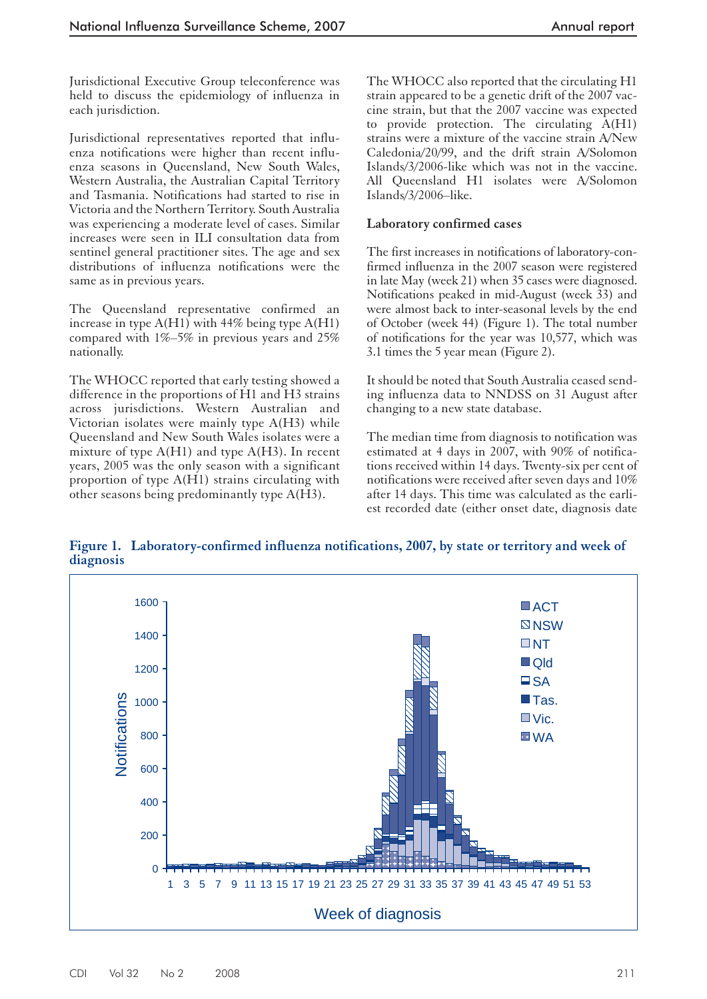Jurisdictional Executive Group teleconference was held to discuss the epidemiology of influenza in each jurisdiction.

Jurisdictional representatives reported that influenza notifications were higher than recent influenza seasons in Queensland, New South Wales, Western Australia, the Australian Capital Territory and Tasmania. Notifications had started to rise in Victoria and the Northern Territory. South Australia was experiencing a moderate level of cases. Similar increases were seen in ILI consultation data from sentinel general practitioner sites. The age and sex distributions of influenza notifications were the same as in previous years.

The Queensland representative confirmed an increase in type  $A(H1)$  with 44% being type  $A(H1)$ compared with 1%–5% in previous years and 25% nationally.

The WHOCC reported that early testing showed a difference in the proportions of H1 and H3 strains across jurisdictions. Western Australian and Victorian isolates were mainly type A(H3) while Queensland and New South Wales isolates were a mixture of type A(H1) and type A(H3). In recent years, 2005 was the only season with a significant proportion of type A(H1) strains circulating with other seasons being predominantly type A(H3).

The WHOCC also reported that the circulating H1 strain appeared to be a genetic drift of the 2007 vaccine strain, but that the 2007 vaccine was expected to provide protection. The circulating A(H1) strains were a mixture of the vaccine strain A/New Caledonia/20/99, and the drift strain A/Solomon Islands/3/2006-like which was not in the vaccine. All Queensland H1 isolates were A/Solomon Islands/3/2006–like.

#### **Laboratory confirmed cases**

The first increases in notifications of laboratory-confirmed influenza in the 2007 season were registered in late May (week 21) when 35 cases were diagnosed. Notifications peaked in mid-August (week 33) and were almost back to inter-seasonal levels by the end of October (week 44) (Figure 1). The total number of notifications for the year was 10,577, which was 3.1 times the 5 year mean (Figure 2).

It should be noted that South Australia ceased sending influenza data to NNDSS on 31 August after changing to a new state database.

The median time from diagnosis to notification was estimated at 4 days in 2007, with 90% of notifications received within 14 days. Twenty-six per cent of notifications were received after seven days and 10% after 14 days. This time was calculated as the earliest recorded date (either onset date, diagnosis date

**Figure 1. Laboratory-confirmed influenza notifications, 2007, by state or territory and week of diagnosis**

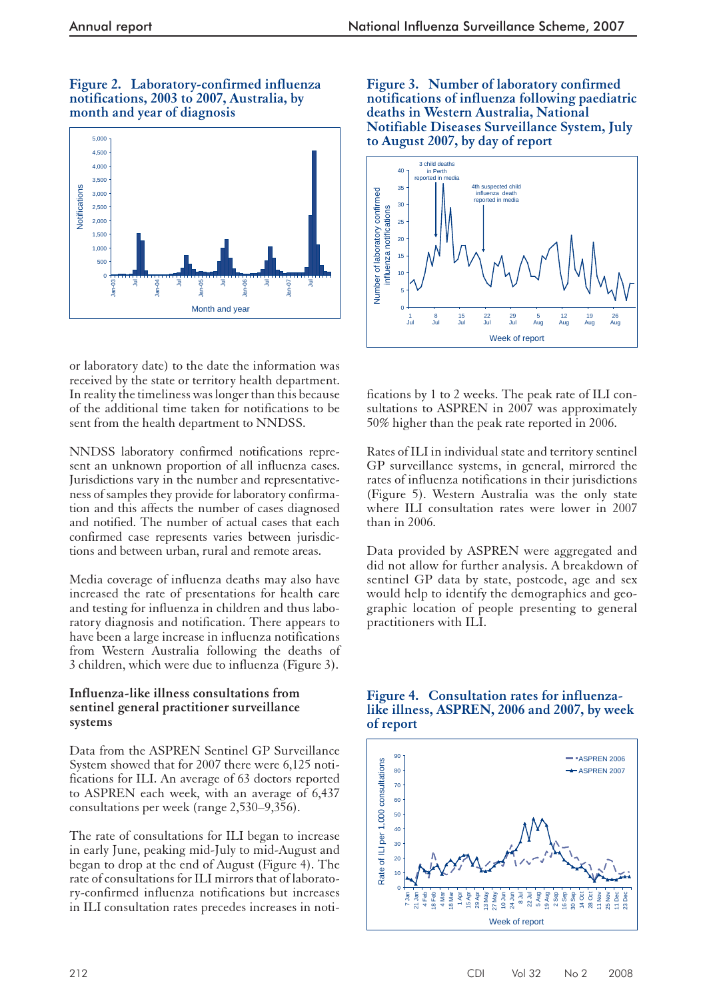#### **Figure 2. Laboratory-confirmed influenza notifications, 2003 to 2007, Australia, by month and year of diagnosis**



or laboratory date) to the date the information was received by the state or territory health department. In reality the timeliness was longer than this because of the additional time taken for notifications to be sent from the health department to NNDSS.

NNDSS laboratory confirmed notifications represent an unknown proportion of all influenza cases. Jurisdictions vary in the number and representativeness of samples they provide for laboratory confirmation and this affects the number of cases diagnosed and notified. The number of actual cases that each confirmed case represents varies between jurisdictions and between urban, rural and remote areas.

Media coverage of influenza deaths may also have increased the rate of presentations for health care and testing for influenza in children and thus laboratory diagnosis and notification. There appears to have been a large increase in influenza notifications from Western Australia following the deaths of 3 children, which were due to influenza (Figure 3).

### **Influenza-like illness consultations from sentinel general practitioner surveillance systems**

Data from the ASPREN Sentinel GP Surveillance System showed that for 2007 there were 6,125 notifications for ILI. An average of 63 doctors reported to ASPREN each week, with an average of 6,437 consultations per week (range 2,530–9,356).

The rate of consultations for ILI began to increase in early June, peaking mid-July to mid-August and began to drop at the end of August (Figure 4). The rate of consultations for ILI mirrors that of laboratory-confirmed influenza notifications but increases in ILI consultation rates precedes increases in noti**Figure 3. Number of laboratory confirmed notifications of influenza following paediatric deaths in Western Australia, National Notifiable Diseases Surveillance System, July to August 2007, by day of report**



fications by 1 to 2 weeks. The peak rate of ILI consultations to ASPREN in 2007 was approximately 50% higher than the peak rate reported in 2006.

Rates of ILI in individual state and territory sentinel GP surveillance systems, in general, mirrored the rates of influenza notifications in their jurisdictions (Figure 5). Western Australia was the only state where ILI consultation rates were lower in 2007 than in 2006.

Data provided by ASPREN were aggregated and did not allow for further analysis. A breakdown of sentinel GP data by state, postcode, age and sex would help to identify the demographics and geographic location of people presenting to general practitioners with ILI.

## **Figure 4. Consultation rates for influenzalike illness, ASPREN, 2006 and 2007, by week of report**

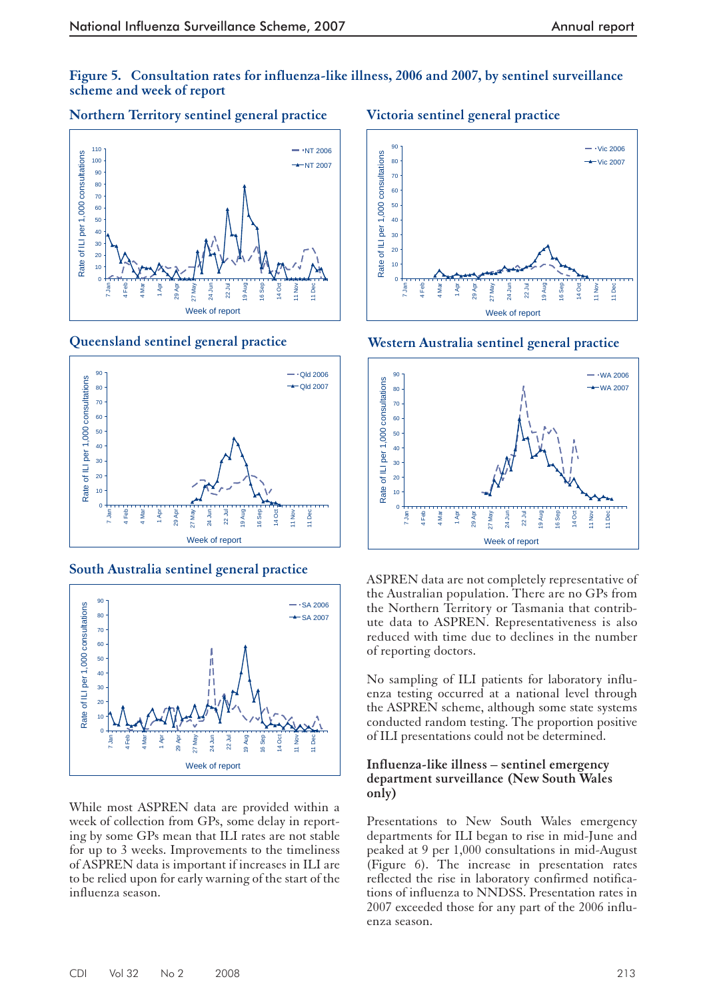# **Figure 5. Consultation rates for influenza-like illness, 2006 and 2007, by sentinel surveillance scheme and week of report**

# **Northern Territory sentinel general practice**



**Queensland sentinel general practice**



# **South Australia sentinel general practice**



While most ASPREN data are provided within a week of collection from GPs, some delay in reporting by some GPs mean that ILI rates are not stable for up to 3 weeks. Improvements to the timeliness of ASPREN data is important if increases in ILI are to be relied upon for early warning of the start of the influenza season.

# **Victoria sentinel general practice**



**Western Australia sentinel general practice**



ASPREN data are not completely representative of the Australian population. There are no GPs from the Northern Territory or Tasmania that contribute data to ASPREN. Representativeness is also reduced with time due to declines in the number of reporting doctors.

No sampling of ILI patients for laboratory influenza testing occurred at a national level through the ASPREN scheme, although some state systems conducted random testing. The proportion positive of ILI presentations could not be determined.

### **Influenza-like illness – sentinel emergency department surveillance (New South Wales only)**

Presentations to New South Wales emergency departments for ILI began to rise in mid-June and peaked at 9 per 1,000 consultations in mid-August (Figure 6). The increase in presentation rates reflected the rise in laboratory confirmed notifications of influenza to NNDSS. Presentation rates in 2007 exceeded those for any part of the 2006 influenza season.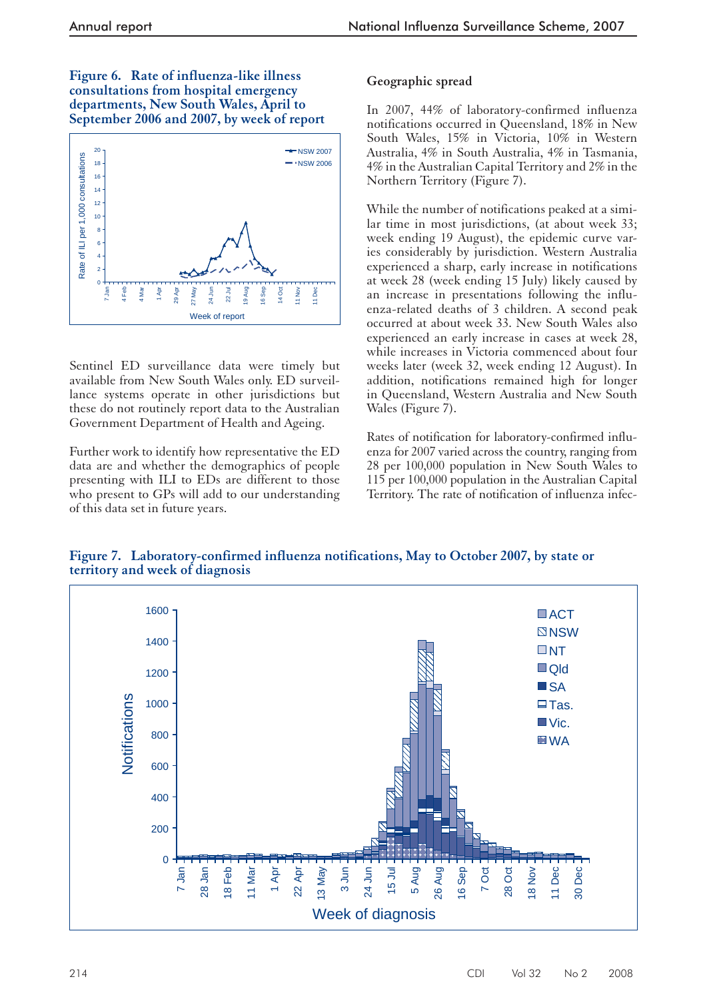**Figure 6. Rate of influenza-like illness consultations from hospital emergency departments, New South Wales, April to September 2006 and 2007, by week of report**



Sentinel ED surveillance data were timely but available from New South Wales only. ED surveillance systems operate in other jurisdictions but these do not routinely report data to the Australian Government Department of Health and Ageing.

Further work to identify how representative the ED data are and whether the demographics of people presenting with ILI to EDs are different to those who present to GPs will add to our understanding of this data set in future years.

# **Geographic spread**

In 2007, 44% of laboratory-confirmed influenza notifications occurred in Queensland, 18% in New South Wales, 15% in Victoria, 10% in Western Australia, 4% in South Australia, 4% in Tasmania, 4% in the Australian Capital Territory and 2% in the Northern Territory (Figure 7).

While the number of notifications peaked at a similar time in most jurisdictions, (at about week 33; week ending 19 August), the epidemic curve varies considerably by jurisdiction. Western Australia experienced a sharp, early increase in notifications at week 28 (week ending 15 July) likely caused by an increase in presentations following the influenza-related deaths of 3 children. A second peak occurred at about week 33. New South Wales also experienced an early increase in cases at week 28, while increases in Victoria commenced about four weeks later (week 32, week ending 12 August). In addition, notifications remained high for longer in Queensland, Western Australia and New South Wales (Figure 7).

Rates of notification for laboratory-confirmed influenza for 2007 varied across the country, ranging from 28 per 100,000 population in New South Wales to 115 per 100,000 population in the Australian Capital Territory. The rate of notification of influenza infec-



**Figure 7. Laboratory-confirmed influenza notifications, May to October 2007, by state or territory and week of diagnosis**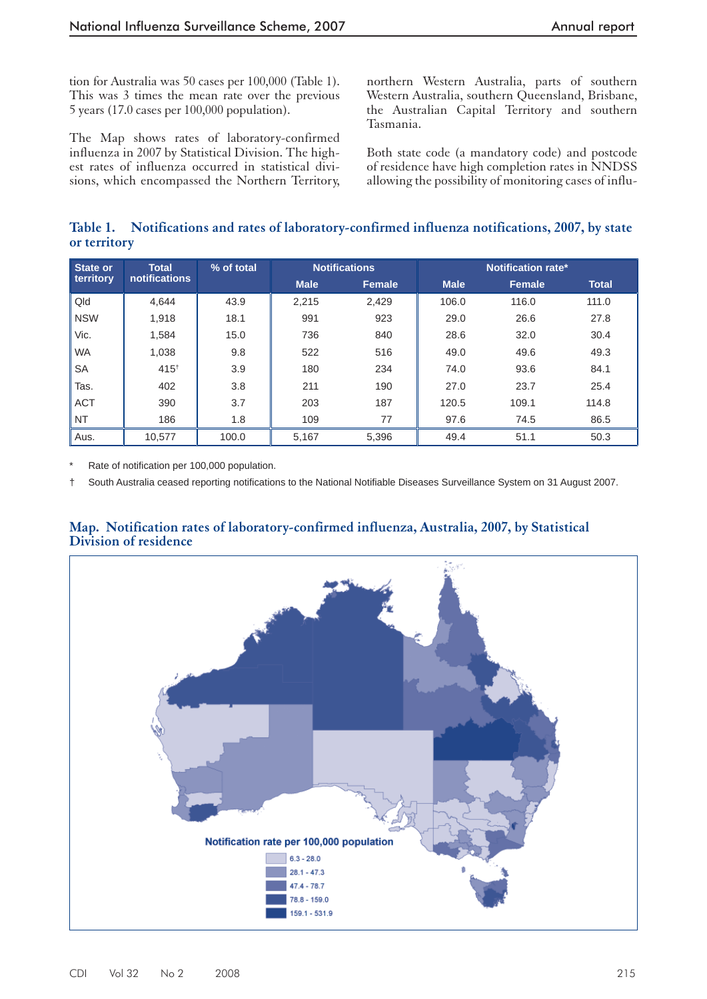tion for Australia was 50 cases per 100,000 (Table 1). This was 3 times the mean rate over the previous 5 years (17.0 cases per 100,000 population).

The Map shows rates of laboratory-confirmed influenza in 2007 by Statistical Division. The highest rates of influenza occurred in statistical divisions, which encompassed the Northern Territory, northern Western Australia, parts of southern Western Australia, southern Queensland, Brisbane, the Australian Capital Territory and southern Tasmania.

Both state code (a mandatory code) and postcode of residence have high completion rates in NNDSS allowing the possibility of monitoring cases of influ-

# **Table 1. Notifications and rates of laboratory-confirmed influenza notifications, 2007, by state or territory**

| State or   | <b>Total</b><br>notifications | % of total |             | <b>Notifications</b> | Notification rate* |               |              |  |
|------------|-------------------------------|------------|-------------|----------------------|--------------------|---------------|--------------|--|
| territory  |                               |            | <b>Male</b> | Female               | <b>Male</b>        | <b>Female</b> | <b>Total</b> |  |
| Qld        | 4.644                         | 43.9       | 2.215       | 2.429                | 106.0              | 116.0         | 111.0        |  |
| <b>NSW</b> | 1,918                         | 18.1       | 991         | 923                  | 29.0               | 26.6          | 27.8         |  |
| Vic.       | 1,584                         | 15.0       | 736         | 840                  | 28.6               | 32.0          | 30.4         |  |
| <b>WA</b>  | 1,038                         | 9.8        | 522         | 516                  | 49.0               | 49.6          | 49.3         |  |
| <b>SA</b>  | $415^{+}$                     | 3.9        | 180         | 234                  | 74.0               | 93.6          | 84.1         |  |
| Tas.       | 402                           | 3.8        | 211         | 190                  | 27.0               | 23.7          | 25.4         |  |
| <b>ACT</b> | 390                           | 3.7        | 203         | 187                  | 120.5              | 109.1         | 114.8        |  |
| <b>NT</b>  | 186                           | 1.8        | 109         | 77                   | 97.6               | 74.5          | 86.5         |  |
| Aus.       | 10,577                        | 100.0      | 5,167       | 5,396                | 49.4               | 51.1          | 50.3         |  |

Rate of notification per 100,000 population.

 $\dagger$  South Australia ceased reporting notifications to the National Notifiable Diseases Surveillance System on 31 August 2007.

## **Map. Notification rates of laboratory-confirmed influenza, Australia, 2007, by Statistical Division of residence**

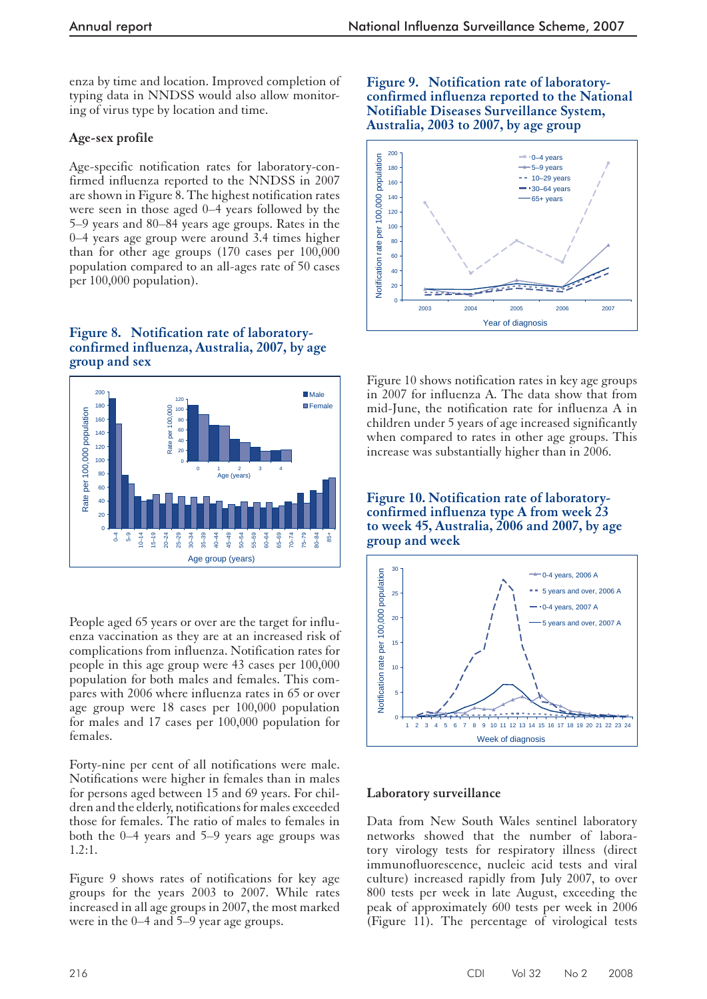enza by time and location. Improved completion of typing data in NNDSS would also allow monitoring of virus type by location and time.

# **Age-sex profile**

Age-specific notification rates for laboratory-confirmed influenza reported to the NNDSS in 2007 are shown in Figure 8. The highest notification rates were seen in those aged 0–4 years followed by the 5–9 years and 80–84 years age groups. Rates in the 0–4 years age group were around 3.4 times higher than for other age groups (170 cases per 100,000 population compared to an all-ages rate of 50 cases per 100,000 population).

**Figure 8. Notification rate of laboratoryconfirmed influenza, Australia, 2007, by age group and sex**



People aged 65 years or over are the target for influenza vaccination as they are at an increased risk of complications from influenza. Notification rates for people in this age group were 43 cases per 100,000 population for both males and females. This compares with 2006 where influenza rates in 65 or over age group were 18 cases per 100,000 population for males and 17 cases per 100,000 population for females.

Forty-nine per cent of all notifications were male. Notifications were higher in females than in males for persons aged between 15 and 69 years. For children and the elderly, notifications for males exceeded those for females. The ratio of males to females in both the 0–4 years and 5–9 years age groups was 1.2:1.

Figure 9 shows rates of notifications for key age groups for the years 2003 to 2007. While rates increased in all age groups in 2007, the most marked were in the 0–4 and 5–9 year age groups.

## **Figure 9. Notification rate of laboratoryconfirmed influenza reported to the National Notifiable Diseases Surveillance System, Australia, 2003 to 2007, by age group**



Figure 10 shows notification rates in key age groups in 2007 for influenza A. The data show that from mid-June, the notification rate for influenza A in children under 5 years of age increased significantly when compared to rates in other age groups. This increase was substantially higher than in 2006.

**Figure 10. Notification rate of laboratoryconfirmed influenza type A from week 23 to week 45, Australia, 2006 and 2007, by age group and week**



# **Laboratory surveillance**

Data from New South Wales sentinel laboratory networks showed that the number of laboratory virology tests for respiratory illness (direct immunofluorescence, nucleic acid tests and viral culture) increased rapidly from July 2007, to over 800 tests per week in late August, exceeding the peak of approximately 600 tests per week in 2006 (Figure 11). The percentage of virological tests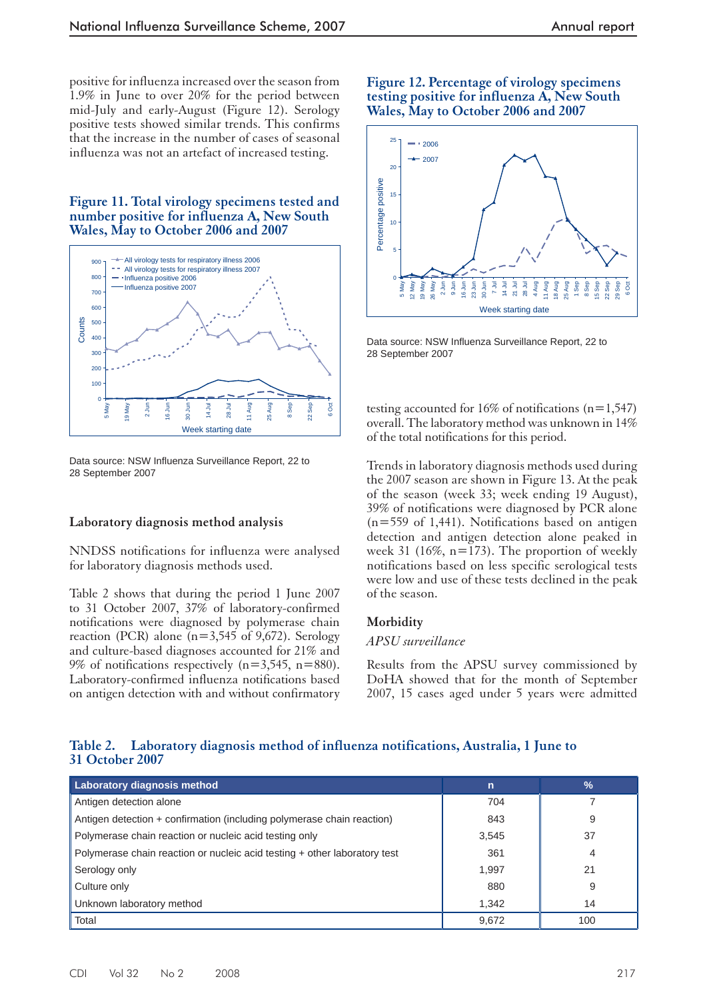positive for influenza increased over the season from 1.9% in June to over 20% for the period between mid-July and early-August (Figure 12). Serology positive tests showed similar trends. This confirms that the increase in the number of cases of seasonal influenza was not an artefact of increased testing.

**Figure 11. Total virology specimens tested and number positive for influenza A, New South Wales, May to October 2006 and 2007**



Data source: NSW Influenza Surveillance Report, 22 to 28 September 2007

#### **Laboratory diagnosis method analysis**

NNDSS notifications for influenza were analysed for laboratory diagnosis methods used.

Table 2 shows that during the period 1 June 2007 to 31 October 2007, 37% of laboratory-confirmed notifications were diagnosed by polymerase chain reaction (PCR) alone  $(n=3,545 \text{ of } 9,672)$ . Serology and culture-based diagnoses accounted for 21% and 9% of notifications respectively  $(n=3,545, n=880)$ . Laboratory-confirmed influenza notifications based on antigen detection with and without confirmatory

#### **Figure 12. Percentage of virology specimens testing positive for influenza A, New South Wales, May to October 2006 and 2007**



Data source: NSW Influenza Surveillance Report, 22 to 28 September 2007

testing accounted for 16% of notifications (n=1,547) overall. The laboratory method was unknown in 14% of the total notifications for this period.

Trends in laboratory diagnosis methods used during the 2007 season are shown in Figure 13. At the peak of the season (week 33; week ending 19 August), 39% of notifications were diagnosed by PCR alone (n=559 of 1,441). Notifications based on antigen detection and antigen detection alone peaked in week 31 (16%,  $n=173$ ). The proportion of weekly notifications based on less specific serological tests were low and use of these tests declined in the peak of the season.

#### **Morbidity**

#### *APSU surveillance*

Results from the APSU survey commissioned by DoHA showed that for the month of September 2007, 15 cases aged under 5 years were admitted

## **Table 2. Laboratory diagnosis method of influenza notifications, Australia, 1 June to 31 October 2007**

| Laboratory diagnosis method                                               | $\mathsf{n}$ | $\frac{9}{6}$ |
|---------------------------------------------------------------------------|--------------|---------------|
| Antigen detection alone                                                   | 704          |               |
| Antigen detection + confirmation (including polymerase chain reaction)    | 843          | 9             |
| Polymerase chain reaction or nucleic acid testing only                    | 3,545        | 37            |
| Polymerase chain reaction or nucleic acid testing + other laboratory test | 361          | 4             |
| Serology only                                                             | 1,997        | 21            |
| Culture only                                                              | 880          | 9             |
| Unknown laboratory method                                                 | 1,342        | 14            |
| Total                                                                     | 9.672        | 100           |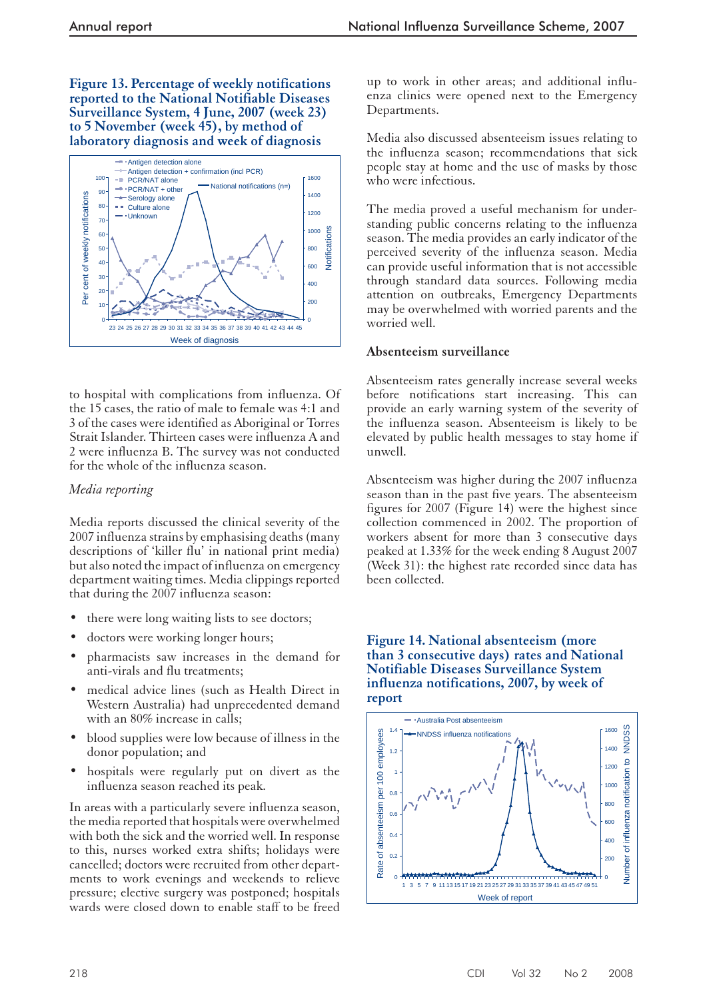**Figure 13. Percentage of weekly notifications reported to the National Notifiable Diseases Surveillance System, 4 June, 2007 (week 23) to 5 November (week 45), by method of laboratory diagnosis and week of diagnosis**



to hospital with complications from influenza. Of the 15 cases, the ratio of male to female was 4:1 and 3 of the cases were identified as Aboriginal or Torres Strait Islander. Thirteen cases were influenza A and 2 were influenza B. The survey was not conducted for the whole of the influenza season.

# *Media reporting*

Media reports discussed the clinical severity of the 2007 influenza strains by emphasising deaths (many descriptions of 'killer flu' in national print media) but also noted the impact of influenza on emergency department waiting times. Media clippings reported that during the 2007 influenza season:

- there were long waiting lists to see doctors;
- doctors were working longer hours;
- pharmacists saw increases in the demand for anti-virals and flu treatments;
- medical advice lines (such as Health Direct in Western Australia) had unprecedented demand with an 80% increase in calls;
- blood supplies were low because of illness in the donor population; and
- hospitals were regularly put on divert as the influenza season reached its peak.

In areas with a particularly severe influenza season, the media reported that hospitals were overwhelmed with both the sick and the worried well. In response to this, nurses worked extra shifts; holidays were cancelled; doctors were recruited from other departments to work evenings and weekends to relieve pressure; elective surgery was postponed; hospitals wards were closed down to enable staff to be freed up to work in other areas; and additional influenza clinics were opened next to the Emergency Departments.

Media also discussed absenteeism issues relating to the influenza season; recommendations that sick people stay at home and the use of masks by those who were infectious.

The media proved a useful mechanism for understanding public concerns relating to the influenza season. The media provides an early indicator of the perceived severity of the influenza season. Media can provide useful information that is not accessible through standard data sources. Following media attention on outbreaks, Emergency Departments may be overwhelmed with worried parents and the worried well.

# **Absenteeism surveillance**

Absenteeism rates generally increase several weeks before notifications start increasing. This can provide an early warning system of the severity of the influenza season. Absenteeism is likely to be elevated by public health messages to stay home if unwell.

Absenteeism was higher during the 2007 influenza season than in the past five years. The absenteeism figures for 2007 (Figure 14) were the highest since collection commenced in 2002. The proportion of workers absent for more than 3 consecutive days peaked at 1.33% for the week ending 8 August 2007 (Week 31): the highest rate recorded since data has been collected.

## **Figure 14. National absenteeism (more than 3 consecutive days) rates and National Notifiable Diseases Surveillance System influenza notifications, 2007, by week of report**

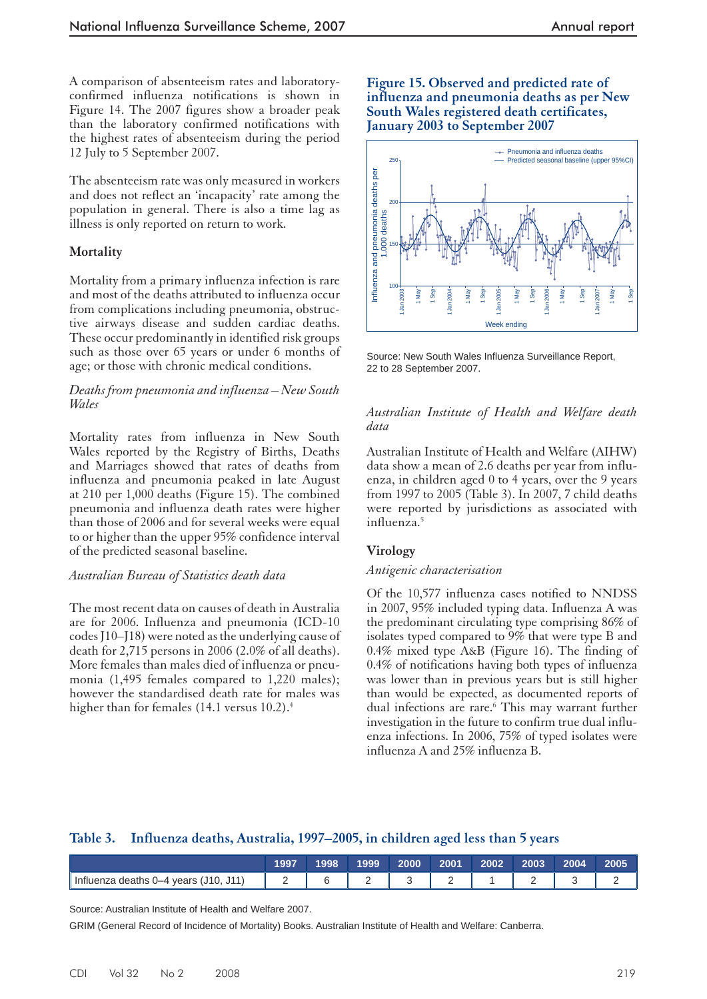A comparison of absenteeism rates and laboratoryconfirmed influenza notifications is shown in Figure 14. The 2007 figures show a broader peak than the laboratory confirmed notifications with the highest rates of absenteeism during the period 12 July to 5 September 2007.

The absenteeism rate was only measured in workers and does not reflect an 'incapacity' rate among the population in general. There is also a time lag as illness is only reported on return to work.

## **Mortality**

Mortality from a primary influenza infection is rare and most of the deaths attributed to influenza occur from complications including pneumonia, obstructive airways disease and sudden cardiac deaths. These occur predominantly in identified risk groups such as those over 65 years or under 6 months of age; or those with chronic medical conditions.

#### *Deaths from pneumonia and influenza – New South Wales*

Mortality rates from influenza in New South Wales reported by the Registry of Births, Deaths and Marriages showed that rates of deaths from influenza and pneumonia peaked in late August at 210 per 1,000 deaths (Figure 15). The combined pneumonia and influenza death rates were higher than those of 2006 and for several weeks were equal to or higher than the upper 95% confidence interval of the predicted seasonal baseline.

#### *Australian Bureau of Statistics death data*

The most recent data on causes of death in Australia are for 2006. Influenza and pneumonia (ICD-10 codes J10–J18) were noted as the underlying cause of death for 2,715 persons in 2006 (2.0% of all deaths). More females than males died of influenza or pneumonia (1,495 females compared to 1,220 males); however the standardised death rate for males was higher than for females (14.1 versus 10.2).<sup>4</sup>

#### **Figure 15. Observed and predicted rate of influenza and pneumonia deaths as per New South Wales registered death certificates, January 2003 to September 2007**



Source: New South Wales Influenza Surveillance Report, 22 to 28 September 2007.

#### *Australian Institute of Health and Welfare death data*

Australian Institute of Health and Welfare (AIHW) data show a mean of 2.6 deaths per year from influenza, in children aged 0 to 4 years, over the 9 years from 1997 to 2005 (Table 3). In 2007, 7 child deaths were reported by jurisdictions as associated with influenza.5

# **Virology**

#### *Antigenic characterisation*

Of the 10,577 influenza cases notified to NNDSS in 2007, 95% included typing data. Influenza A was the predominant circulating type comprising 86% of isolates typed compared to 9% that were type B and 0.4% mixed type A&B (Figure 16). The finding of 0.4% of notifications having both types of influenza was lower than in previous years but is still higher than would be expected, as documented reports of dual infections are rare.<sup>6</sup> This may warrant further investigation in the future to confirm true dual influenza infections. In 2006, 75% of typed isolates were influenza A and 25% influenza B.

# **Table 3. Influenza deaths, Australia, 1997–2005, in children aged less than 5 years**

|                                       | 1997 | 998 | 1999 | 2000 | 2001 | 2002 | 2003 | 2004 | 2005 |
|---------------------------------------|------|-----|------|------|------|------|------|------|------|
| Influenza deaths 0–4 years (J10, J11) | -    |     | -    |      | -    |      |      | ◡    | -    |

Source: Australian Institute of Health and Welfare 2007.

GRIM (General Record of Incidence of Mortality) Books. Australian Institute of Health and Welfare: Canberra.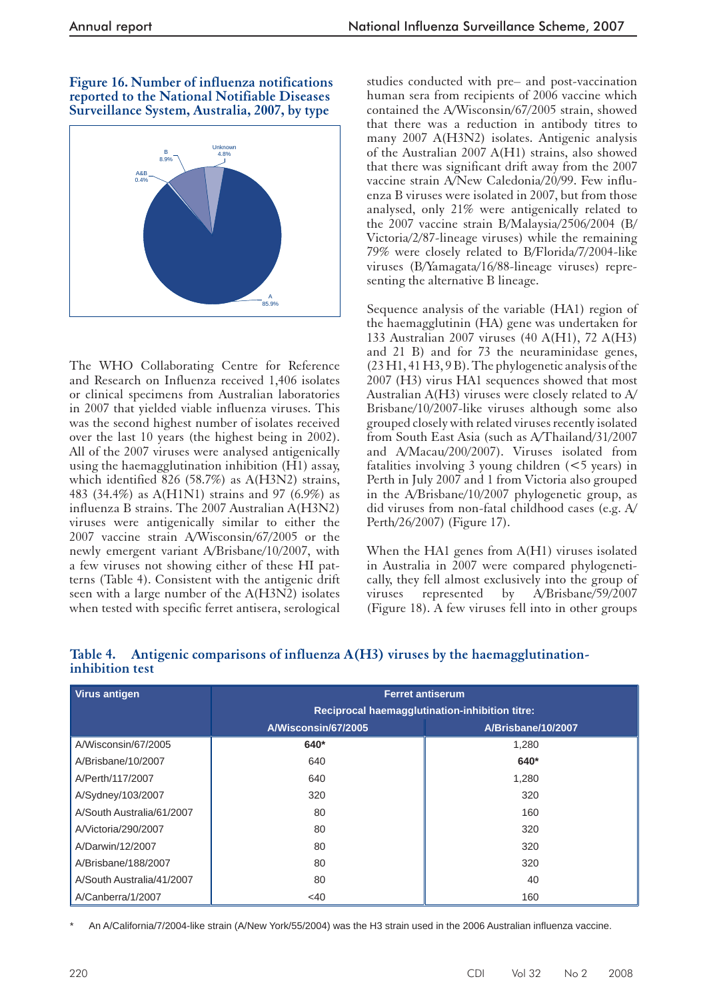#### **Figure 16. Number of influenza notifications reported to the National Notifiable Diseases Surveillance System, Australia, 2007, by type**



The WHO Collaborating Centre for Reference and Research on Influenza received 1,406 isolates or clinical specimens from Australian laboratories in 2007 that yielded viable influenza viruses. This was the second highest number of isolates received over the last 10 years (the highest being in 2002). All of the 2007 viruses were analysed antigenically using the haemagglutination inhibition (H1) assay, which identified 826 (58.7%) as A(H3N2) strains, 483 (34.4%) as A(H1N1) strains and 97 (6.9%) as influenza B strains. The 2007 Australian A(H3N2) viruses were antigenically similar to either the 2007 vaccine strain A/Wisconsin/67/2005 or the newly emergent variant A/Brisbane/10/2007, with a few viruses not showing either of these HI patterns (Table 4). Consistent with the antigenic drift seen with a large number of the A(H3N2) isolates when tested with specific ferret antisera, serological

studies conducted with pre– and post-vaccination human sera from recipients of 2006 vaccine which contained the A/Wisconsin/67/2005 strain, showed that there was a reduction in antibody titres to many 2007 A(H3N2) isolates. Antigenic analysis of the Australian 2007 A(H1) strains, also showed that there was significant drift away from the 2007 vaccine strain A/New Caledonia/20/99. Few influenza B viruses were isolated in 2007, but from those analysed, only 21% were antigenically related to the 2007 vaccine strain B/Malaysia/2506/2004 (B/ Victoria/2/87-lineage viruses) while the remaining 79% were closely related to B/Florida/7/2004-like viruses (B/Yamagata/16/88-lineage viruses) representing the alternative B lineage.

Sequence analysis of the variable (HA1) region of the haemagglutinin (HA) gene was undertaken for 133 Australian 2007 viruses (40 A(H1), 72 A(H3) and 21 B) and for 73 the neuraminidase genes, (23 H1, 41 H3, 9 B). The phylogenetic analysis of the 2007 (H3) virus HA1 sequences showed that most Australian A(H3) viruses were closely related to A/ Brisbane/10/2007-like viruses although some also grouped closely with related viruses recently isolated from South East Asia (such as A/Thailand/31/2007 and A/Macau/200/2007). Viruses isolated from fatalities involving 3 young children (<5 years) in Perth in July 2007 and 1 from Victoria also grouped in the A/Brisbane/10/2007 phylogenetic group, as did viruses from non-fatal childhood cases (e.g. A/ Perth/26/2007) (Figure 17).

When the HA1 genes from A(H1) viruses isolated in Australia in 2007 were compared phylogenetically, they fell almost exclusively into the group of viruses represented by A/Brisbane/59/2007 (Figure 18). A few viruses fell into in other groups

| <b>Virus antigen</b>      | <b>Ferret antiserum</b>                        |                    |  |  |  |  |
|---------------------------|------------------------------------------------|--------------------|--|--|--|--|
|                           | Reciprocal haemagglutination-inhibition titre: |                    |  |  |  |  |
|                           | A/Wisconsin/67/2005                            | A/Brisbane/10/2007 |  |  |  |  |
| A/Wisconsin/67/2005       | 640*                                           | 1,280              |  |  |  |  |
| A/Brisbane/10/2007        | 640                                            | 640*               |  |  |  |  |
| A/Perth/117/2007          | 640                                            | 1,280              |  |  |  |  |
| A/Sydney/103/2007         | 320                                            | 320                |  |  |  |  |
| A/South Australia/61/2007 | 80                                             | 160                |  |  |  |  |
| A/Victoria/290/2007       | 80                                             | 320                |  |  |  |  |
| A/Darwin/12/2007          | 80                                             | 320                |  |  |  |  |
| A/Brisbane/188/2007       | 80                                             | 320                |  |  |  |  |
| A/South Australia/41/2007 | 80                                             | 40                 |  |  |  |  |
| A/Canberra/1/2007         | <40                                            | 160                |  |  |  |  |

# **Table 4. Antigenic comparisons of influenza A(H3) viruses by the haemagglutinationinhibition test**

An A/California/7/2004-like strain (A/New York/55/2004) was the H3 strain used in the 2006 Australian influenza vaccine.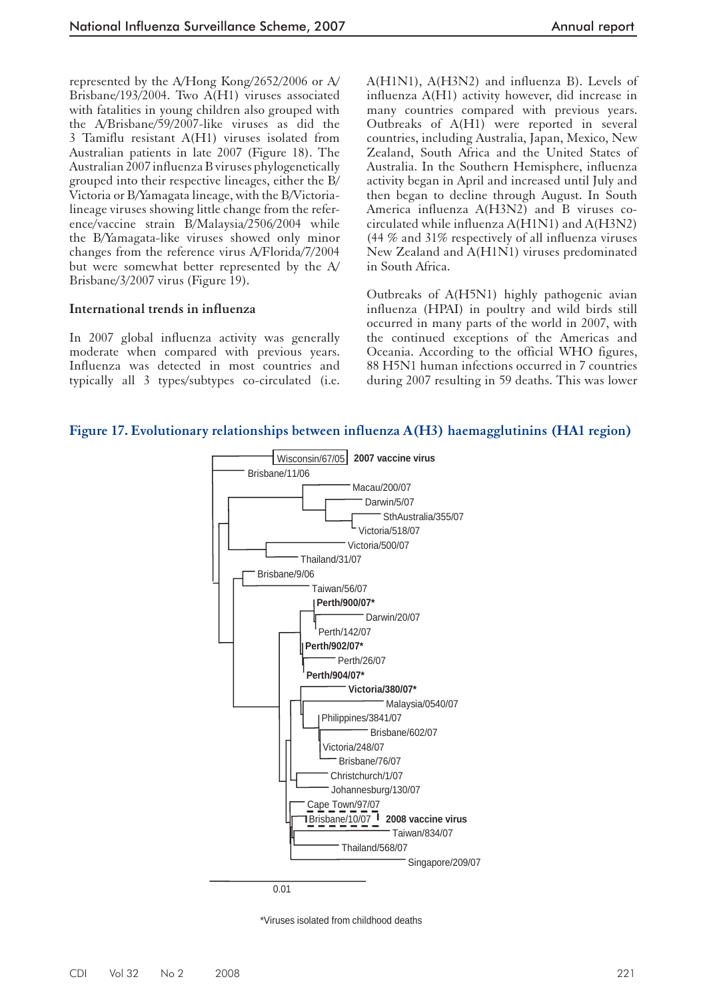represented by the A/Hong Kong/2652/2006 or A/ Brisbane/193/2004. Two A(H1) viruses associated with fatalities in young children also grouped with the A/Brisbane/59/2007-like viruses as did the 3 Tamiflu resistant A(H1) viruses isolated from Australian patients in late 2007 (Figure 18). The Australian 2007 influenza B viruses phylogenetically grouped into their respective lineages, either the B/ Victoria or B/Yamagata lineage, with the B/Victorialineage viruses showing little change from the reference/vaccine strain B/Malaysia/2506/2004 while the B/Yamagata-like viruses showed only minor changes from the reference virus A/Florida/7/2004 but were somewhat better represented by the A/ Brisbane/3/2007 virus (Figure 19).

#### **International trends in influenza**

In 2007 global influenza activity was generally moderate when compared with previous years. Influenza was detected in most countries and typically all 3 types/subtypes co-circulated (i.e. A(H1N1), A(H3N2) and influenza B). Levels of influenza A(H1) activity however, did increase in many countries compared with previous years. Outbreaks of A(H1) were reported in several countries, including Australia, Japan, Mexico, New Zealand, South Africa and the United States of Australia. In the Southern Hemisphere, influenza activity began in April and increased until July and then began to decline through August. In South America influenza A(H3N2) and B viruses cocirculated while influenza A(H1N1) and A(H3N2) (44 % and 31% respectively of all influenza viruses New Zealand and A(H1N1) viruses predominated in South Africa.

Outbreaks of A(H5N1) highly pathogenic avian influenza (HPAI) in poultry and wild birds still occurred in many parts of the world in 2007, with the continued exceptions of the Americas and Oceania. According to the official WHO figures, 88 H5N1 human infections occurred in 7 countries during 2007 resulting in 59 deaths. This was lower

## **Figure 17. Evolutionary relationships between influenza A(H3) haemagglutinins (HA1 region)**



\*Viruses isolated from childhood deaths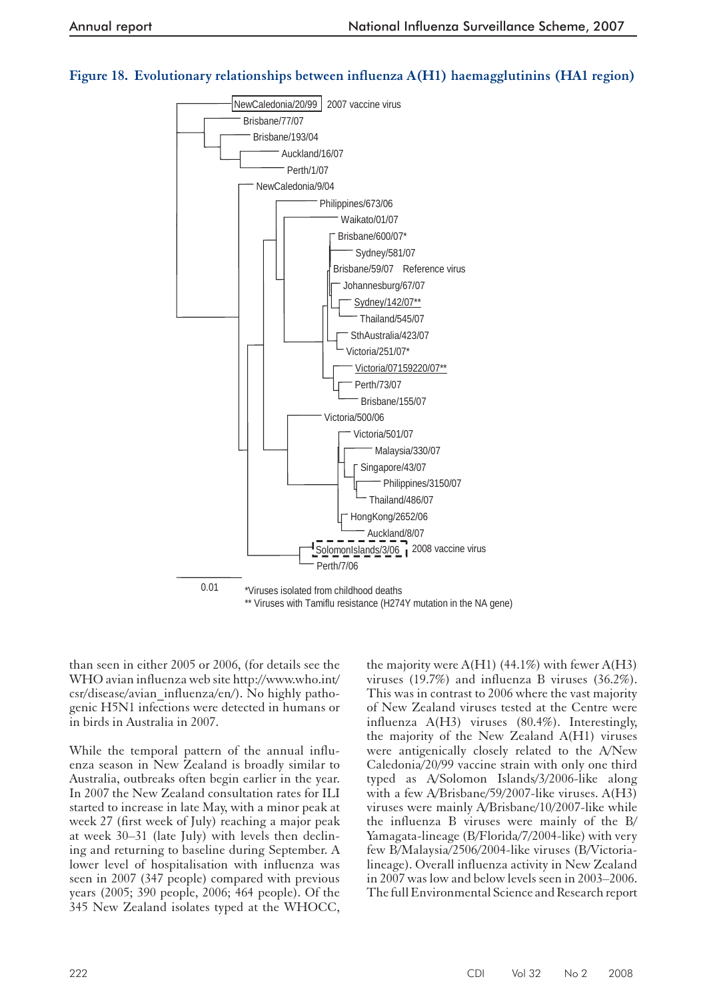# **Figure 18. Evolutionary relationships between influenza A(H1) haemagglutinins (HA1 region)**



than seen in either 2005 or 2006, (for details see the WHO avian influenza web site http://www.who.int/ csr/disease/avian\_influenza/en/). No highly pathogenic H5N1 infections were detected in humans or in birds in Australia in 2007.

While the temporal pattern of the annual influenza season in New Zealand is broadly similar to Australia, outbreaks often begin earlier in the year. In 2007 the New Zealand consultation rates for ILI started to increase in late May, with a minor peak at week 27 (first week of July) reaching a major peak at week 30–31 (late July) with levels then declining and returning to baseline during September. A lower level of hospitalisation with influenza was seen in 2007 (347 people) compared with previous years (2005; 390 people, 2006; 464 people). Of the 345 New Zealand isolates typed at the WHOCC,

the majority were  $A(H1)$  (44.1%) with fewer  $A(H3)$ viruses (19.7%) and influenza B viruses (36.2%). This was in contrast to 2006 where the vast majority of New Zealand viruses tested at the Centre were influenza A(H3) viruses (80.4%). Interestingly, the majority of the New Zealand A(H1) viruses were antigenically closely related to the A/New Caledonia/20/99 vaccine strain with only one third typed as A/Solomon Islands/3/2006-like along with a few A/Brisbane/59/2007-like viruses. A(H3) viruses were mainly A/Brisbane/10/2007-like while the influenza B viruses were mainly of the B/ Yamagata-lineage (B/Florida/7/2004-like) with very few B/Malaysia/2506/2004-like viruses (B/Victorialineage). Overall influenza activity in New Zealand in 2007 was low and below levels seen in 2003–2006. The full Environmental Science and Research report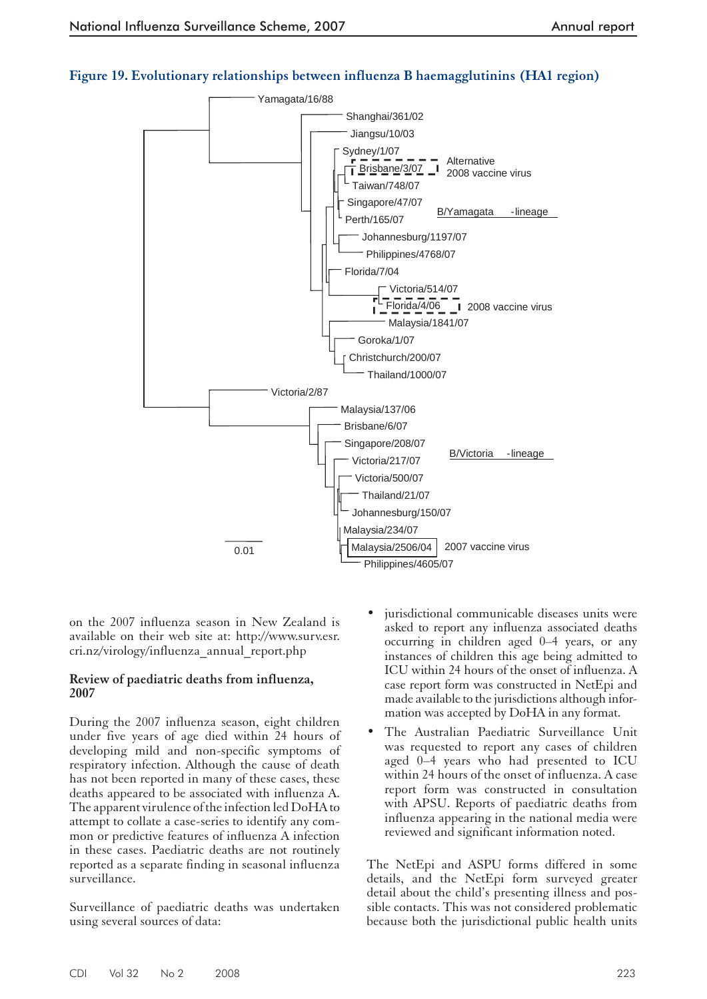

# **Figure 19. Evolutionary relationships between influenza B haemagglutinins (HA1 region)**

on the 2007 influenza season in New Zealand is available on their web site at: http://www.surv.esr. cri.nz/virology/influenza\_annual\_report.php

#### **Review of paediatric deaths from influenza, 2007**

During the 2007 influenza season, eight children under five years of age died within 24 hours of developing mild and non-specific symptoms of respiratory infection. Although the cause of death has not been reported in many of these cases, these deaths appeared to be associated with influenza A. The apparent virulence of the infection led DoHA to attempt to collate a case-series to identify any common or predictive features of influenza A infection in these cases. Paediatric deaths are not routinely reported as a separate finding in seasonal influenza surveillance.

Surveillance of paediatric deaths was undertaken using several sources of data:

- jurisdictional communicable diseases units were asked to report any influenza associated deaths occurring in children aged 0–4 years, or any instances of children this age being admitted to ICU within 24 hours of the onset of influenza. A case report form was constructed in NetEpi and made available to the jurisdictions although information was accepted by DoHA in any format.
- The Australian Paediatric Surveillance Unit was requested to report any cases of children aged 0–4 years who had presented to ICU within 24 hours of the onset of influenza. A case report form was constructed in consultation with APSU. Reports of paediatric deaths from influenza appearing in the national media were reviewed and significant information noted.

The NetEpi and ASPU forms differed in some details, and the NetEpi form surveyed greater detail about the child's presenting illness and possible contacts. This was not considered problematic because both the jurisdictional public health units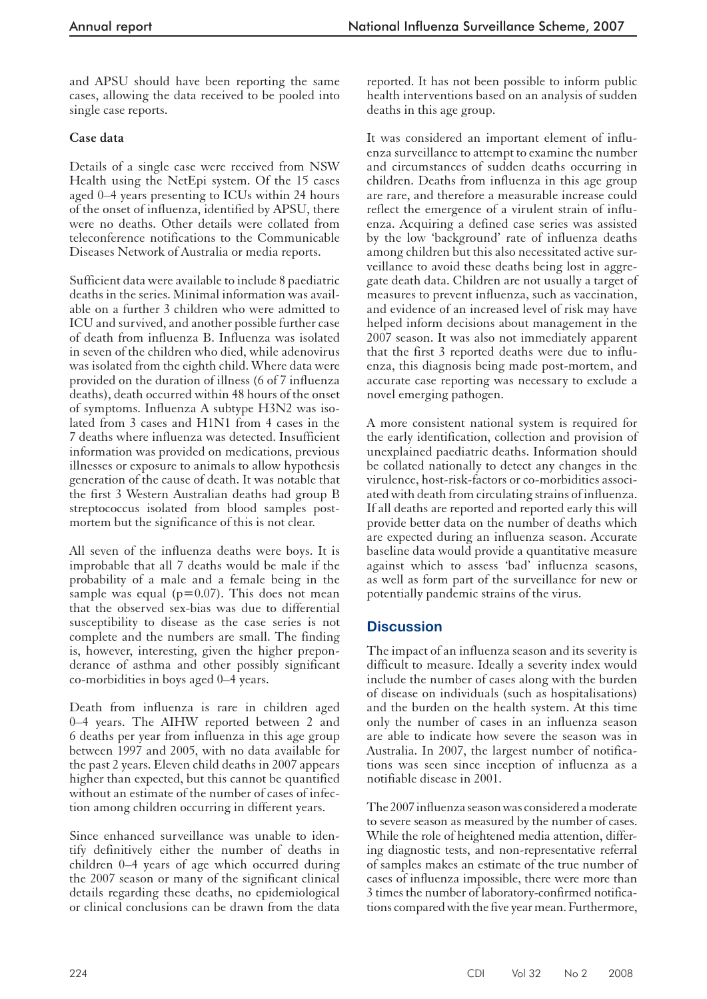and APSU should have been reporting the same cases, allowing the data received to be pooled into single case reports.

# **Case data**

Details of a single case were received from NSW Health using the NetEpi system. Of the 15 cases aged 0–4 years presenting to ICUs within 24 hours of the onset of influenza, identified by APSU, there were no deaths. Other details were collated from teleconference notifications to the Communicable Diseases Network of Australia or media reports.

Sufficient data were available to include 8 paediatric deaths in the series. Minimal information was available on a further 3 children who were admitted to ICU and survived, and another possible further case of death from influenza B. Influenza was isolated in seven of the children who died, while adenovirus was isolated from the eighth child. Where data were provided on the duration of illness (6 of 7 influenza deaths), death occurred within 48 hours of the onset of symptoms. Influenza A subtype H3N2 was isolated from 3 cases and H1N1 from 4 cases in the 7 deaths where influenza was detected. Insufficient information was provided on medications, previous illnesses or exposure to animals to allow hypothesis generation of the cause of death. It was notable that the first 3 Western Australian deaths had group B streptococcus isolated from blood samples postmortem but the significance of this is not clear.

All seven of the influenza deaths were boys. It is improbable that all 7 deaths would be male if the probability of a male and a female being in the sample was equal ( $p=0.07$ ). This does not mean that the observed sex-bias was due to differential susceptibility to disease as the case series is not complete and the numbers are small. The finding is, however, interesting, given the higher preponderance of asthma and other possibly significant co-morbidities in boys aged 0–4 years.

Death from influenza is rare in children aged 0–4 years. The AIHW reported between 2 and 6 deaths per year from influenza in this age group between 1997 and 2005, with no data available for the past 2 years. Eleven child deaths in 2007 appears higher than expected, but this cannot be quantified without an estimate of the number of cases of infection among children occurring in different years.

Since enhanced surveillance was unable to identify definitively either the number of deaths in children 0–4 years of age which occurred during the 2007 season or many of the significant clinical details regarding these deaths, no epidemiological or clinical conclusions can be drawn from the data reported. It has not been possible to inform public health interventions based on an analysis of sudden deaths in this age group.

It was considered an important element of influenza surveillance to attempt to examine the number and circumstances of sudden deaths occurring in children. Deaths from influenza in this age group are rare, and therefore a measurable increase could reflect the emergence of a virulent strain of influenza. Acquiring a defined case series was assisted by the low 'background' rate of influenza deaths among children but this also necessitated active surveillance to avoid these deaths being lost in aggregate death data. Children are not usually a target of measures to prevent influenza, such as vaccination, and evidence of an increased level of risk may have helped inform decisions about management in the 2007 season. It was also not immediately apparent that the first 3 reported deaths were due to influenza, this diagnosis being made post-mortem, and accurate case reporting was necessary to exclude a novel emerging pathogen.

A more consistent national system is required for the early identification, collection and provision of unexplained paediatric deaths. Information should be collated nationally to detect any changes in the virulence, host-risk-factors or co-morbidities associated with death from circulating strains of influenza. If all deaths are reported and reported early this will provide better data on the number of deaths which are expected during an influenza season. Accurate baseline data would provide a quantitative measure against which to assess 'bad' influenza seasons, as well as form part of the surveillance for new or potentially pandemic strains of the virus.

# **Discussion**

The impact of an influenza season and its severity is difficult to measure. Ideally a severity index would include the number of cases along with the burden of disease on individuals (such as hospitalisations) and the burden on the health system. At this time only the number of cases in an influenza season are able to indicate how severe the season was in Australia. In 2007, the largest number of notifications was seen since inception of influenza as a notifiable disease in 2001.

The 2007 influenza season was considered a moderate to severe season as measured by the number of cases. While the role of heightened media attention, differing diagnostic tests, and non-representative referral of samples makes an estimate of the true number of cases of influenza impossible, there were more than 3 times the number of laboratory-confirmed notifications compared with the five year mean. Furthermore,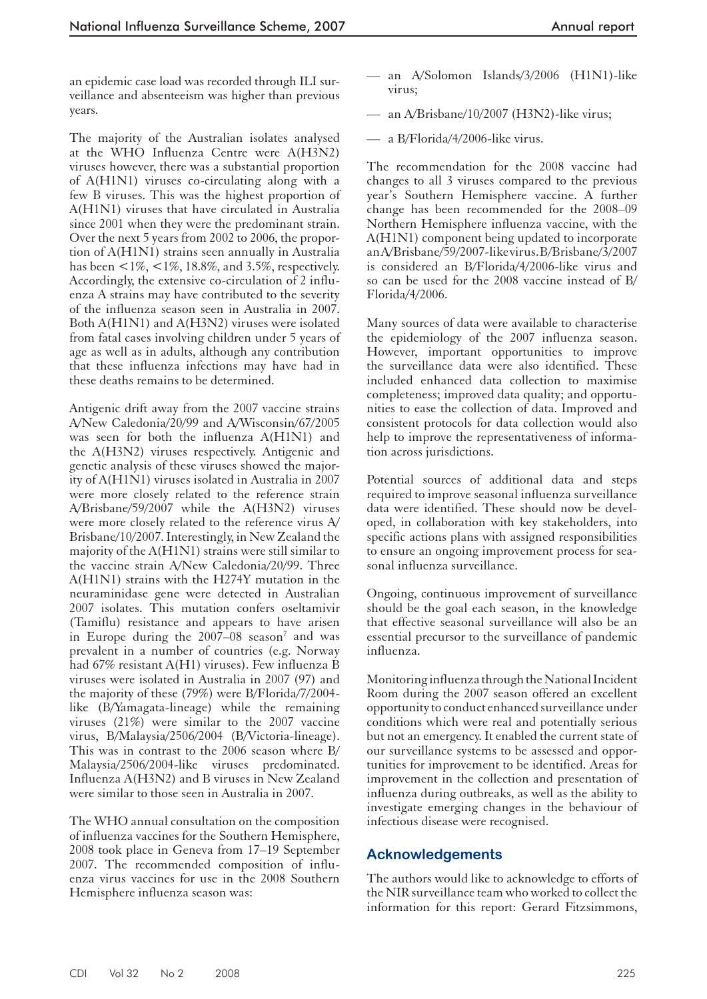an epidemic case load was recorded through ILI surveillance and absenteeism was higher than previous years.

The majority of the Australian isolates analysed at the WHO Influenza Centre were A(H3N2) viruses however, there was a substantial proportion of A(H1N1) viruses co-circulating along with a few B viruses. This was the highest proportion of A(H1N1) viruses that have circulated in Australia since 2001 when they were the predominant strain. Over the next 5 years from 2002 to 2006, the proportion of A(H1N1) strains seen annually in Australia has been  $\langle 1\%, \langle 1\%, 18.8\%, \rangle$  and 3.5%, respectively. Accordingly, the extensive co-circulation of 2 influenza A strains may have contributed to the severity of the influenza season seen in Australia in 2007. Both A(H1N1) and A(H3N2) viruses were isolated from fatal cases involving children under 5 years of age as well as in adults, although any contribution that these influenza infections may have had in these deaths remains to be determined.

Antigenic drift away from the 2007 vaccine strains A/New Caledonia/20/99 and A/Wisconsin/67/2005 was seen for both the influenza A(H1N1) and the A(H3N2) viruses respectively. Antigenic and genetic analysis of these viruses showed the majority of A(H1N1) viruses isolated in Australia in 2007 were more closely related to the reference strain A/Brisbane/59/2007 while the A(H3N2) viruses were more closely related to the reference virus A/ Brisbane/10/2007. Interestingly, in New Zealand the majority of the A(H1N1) strains were still similar to the vaccine strain A/New Caledonia/20/99. Three A(H1N1) strains with the H274Y mutation in the neuraminidase gene were detected in Australian 2007 isolates. This mutation confers oseltamivir (Tamiflu) resistance and appears to have arisen in Europe during the 2007-08 season<sup>7</sup> and was prevalent in a number of countries (e.g. Norway had 67% resistant A(H1) viruses). Few influenza B viruses were isolated in Australia in 2007 (97) and the majority of these (79%) were B/Florida/7/2004 like (B/Yamagata-lineage) while the remaining viruses (21%) were similar to the 2007 vaccine virus, B/Malaysia/2506/2004 (B/Victoria-lineage). This was in contrast to the 2006 season where B/ Malaysia/2506/2004-like viruses predominated. Influenza A(H3N2) and B viruses in New Zealand were similar to those seen in Australia in 2007.

The WHO annual consultation on the composition of influenza vaccines for the Southern Hemisphere, 2008 took place in Geneva from 17–19 September 2007. The recommended composition of influenza virus vaccines for use in the 2008 Southern Hemisphere influenza season was:

- an A/Solomon Islands/3/2006 (H1N1)-like virus;
- an A/Brisbane/10/2007 (H3N2)-like virus;
- a B/Florida/4/2006-like virus.

The recommendation for the 2008 vaccine had changes to all 3 viruses compared to the previous year's Southern Hemisphere vaccine. A further change has been recommended for the 2008–09 Northern Hemisphere influenza vaccine, with the A(H1N1) component being updated to incorporate an A/Brisbane/59/2007-like virus. B/Brisbane/3/2007 is considered an B/Florida/4/2006-like virus and so can be used for the 2008 vaccine instead of B/ Florida/4/2006.

Many sources of data were available to characterise the epidemiology of the 2007 influenza season. However, important opportunities to improve the surveillance data were also identified. These included enhanced data collection to maximise completeness; improved data quality; and opportunities to ease the collection of data. Improved and consistent protocols for data collection would also help to improve the representativeness of information across jurisdictions.

Potential sources of additional data and steps required to improve seasonal influenza surveillance data were identified. These should now be developed, in collaboration with key stakeholders, into specific actions plans with assigned responsibilities to ensure an ongoing improvement process for seasonal influenza surveillance.

Ongoing, continuous improvement of surveillance should be the goal each season, in the knowledge that effective seasonal surveillance will also be an essential precursor to the surveillance of pandemic influenza.

Monitoring influenza through the National Incident Room during the 2007 season offered an excellent opportunity to conduct enhanced surveillance under conditions which were real and potentially serious but not an emergency. It enabled the current state of our surveillance systems to be assessed and opportunities for improvement to be identified. Areas for improvement in the collection and presentation of influenza during outbreaks, as well as the ability to investigate emerging changes in the behaviour of infectious disease were recognised.

# **Acknowledgements**

The authors would like to acknowledge to efforts of the NIR surveillance team who worked to collect the information for this report: Gerard Fitzsimmons,